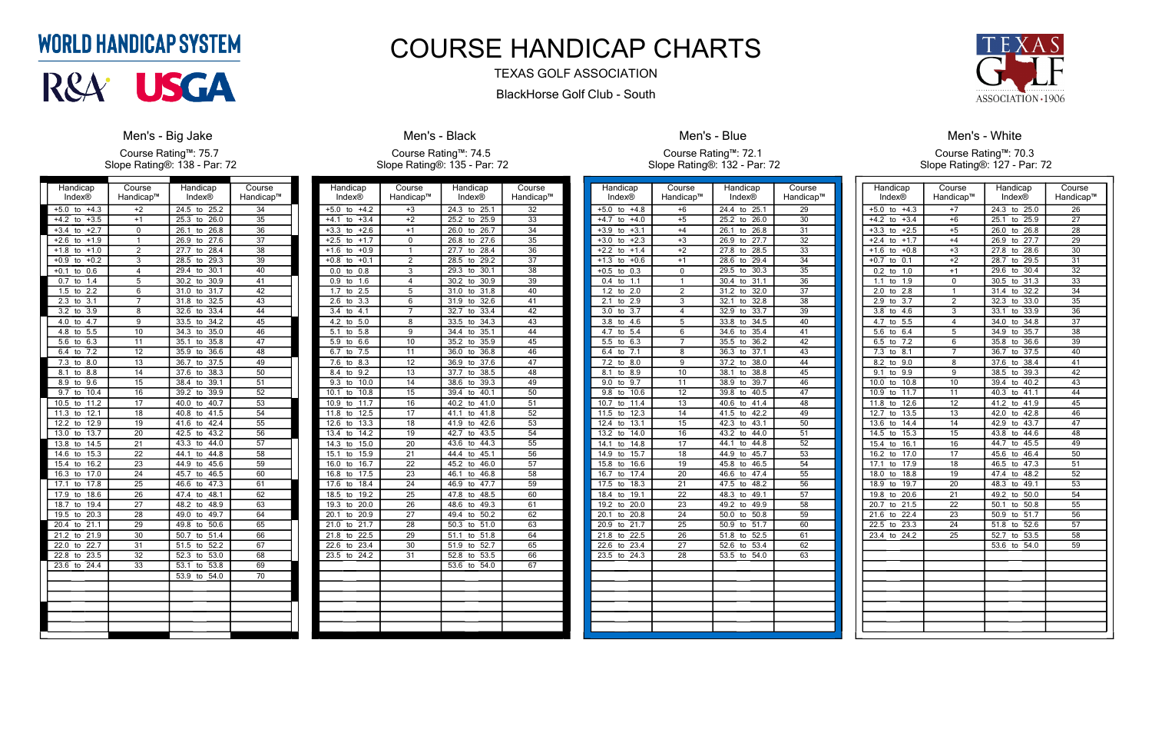| Handicap™<br>Handicap™<br><b>Index®</b><br>Index®<br>$+4.3$<br>$\overline{34}$<br>$+5.0$<br>$+2$<br>24.5<br>25.2<br>to<br>to<br>$+3.5$<br>$+1$<br>35<br>$+4.2$<br>25.3<br>26.0<br>to<br>to<br>$\overline{36}$<br>$+3.4$<br>$+2.7$<br>0<br>26.1<br>26.8<br>to<br>to<br>1<br>27.6<br>$\overline{37}$<br>$+2.6$<br>$+1.9$<br>26.9<br>to<br>to<br>$+1.8$<br>$+1.0$<br>$\overline{c}$<br>28.4<br>38<br>27.7<br>to<br>to<br>$\overline{\overline{3}}$<br>28.5<br>$\overline{39}$<br>$+0.9$<br>$+0.2$<br>29.3<br>to<br>to |  |
|--------------------------------------------------------------------------------------------------------------------------------------------------------------------------------------------------------------------------------------------------------------------------------------------------------------------------------------------------------------------------------------------------------------------------------------------------------------------------------------------------------------------|--|
|                                                                                                                                                                                                                                                                                                                                                                                                                                                                                                                    |  |
|                                                                                                                                                                                                                                                                                                                                                                                                                                                                                                                    |  |
|                                                                                                                                                                                                                                                                                                                                                                                                                                                                                                                    |  |
|                                                                                                                                                                                                                                                                                                                                                                                                                                                                                                                    |  |
|                                                                                                                                                                                                                                                                                                                                                                                                                                                                                                                    |  |
|                                                                                                                                                                                                                                                                                                                                                                                                                                                                                                                    |  |
| 0.6<br>4<br>$+0.1$<br>30.1<br>40<br>29.4<br>to<br>to                                                                                                                                                                                                                                                                                                                                                                                                                                                               |  |
| 1.4<br>5<br>30.9<br>0.7<br>30.2<br>41<br>to<br>to                                                                                                                                                                                                                                                                                                                                                                                                                                                                  |  |
| $\overline{2.2}$<br>$\overline{6}$<br>42<br>1.5<br>31.0<br>31.7<br>to<br>to                                                                                                                                                                                                                                                                                                                                                                                                                                        |  |
| 7<br>$\overline{3.1}$<br>32.5<br>$2.\overline{3}$<br>31.8<br>43<br>to<br>to                                                                                                                                                                                                                                                                                                                                                                                                                                        |  |
| $\overline{3.9}$<br>33.4<br>3.2<br>8<br>32.6<br>44<br>to<br>to                                                                                                                                                                                                                                                                                                                                                                                                                                                     |  |
| $\overline{4.7}$<br>4.0<br>9<br>33.5<br>34.2<br>45<br>to<br>to                                                                                                                                                                                                                                                                                                                                                                                                                                                     |  |
| 5.5<br>$\overline{10}$<br>35.0<br>34.3<br>46<br>4.8<br>to<br>to                                                                                                                                                                                                                                                                                                                                                                                                                                                    |  |
| 6.3<br>$\overline{5.6}$<br>11<br>35.1<br>35.8<br>47<br>to<br>to                                                                                                                                                                                                                                                                                                                                                                                                                                                    |  |
| $\overline{7.2}$<br>$\overline{12}$<br>35.9<br>36.6<br>48<br>6.4<br>to<br>to                                                                                                                                                                                                                                                                                                                                                                                                                                       |  |
| $\overline{13}$<br>37.5<br>7.3<br>8.0<br>36.7<br>49<br>to<br>to                                                                                                                                                                                                                                                                                                                                                                                                                                                    |  |
| 38.3<br>8.8<br>14<br>50<br>8.1<br>37.6<br>to<br>to                                                                                                                                                                                                                                                                                                                                                                                                                                                                 |  |
| $\overline{15}$<br>9.6<br>39.1<br>51<br>8.9<br>38.4<br>to<br>to                                                                                                                                                                                                                                                                                                                                                                                                                                                    |  |
| 10.4<br>39.9<br>$\overline{52}$<br>$\overline{9.7}$<br>16<br>39.2<br>to<br>to                                                                                                                                                                                                                                                                                                                                                                                                                                      |  |
| $\overline{11.2}$<br>40.7<br>10.5<br>17<br>40.0<br>$\overline{53}$<br>to<br>to                                                                                                                                                                                                                                                                                                                                                                                                                                     |  |
| 12.1<br>41.5<br>11.3<br>18<br>40.8<br>54<br>to<br>to                                                                                                                                                                                                                                                                                                                                                                                                                                                               |  |
| 12.2<br>12.9<br>19<br>42.4<br>55<br>41.6<br>to<br>to                                                                                                                                                                                                                                                                                                                                                                                                                                                               |  |
| 13.7<br>$\overline{20}$<br>43.2<br>13.0<br>42.5<br>56<br>to<br>to                                                                                                                                                                                                                                                                                                                                                                                                                                                  |  |
| $\overline{57}$<br>13.8<br>14.5<br>21<br>43.3<br>44.0<br>to<br>to                                                                                                                                                                                                                                                                                                                                                                                                                                                  |  |
| $\overline{22}$<br>$\overline{58}$<br>14.6<br>15.3<br>44.1<br>44.8<br>to<br>to                                                                                                                                                                                                                                                                                                                                                                                                                                     |  |
| $\overline{15.4}$<br>16.2<br>23<br>45.6<br>$\overline{59}$<br>44.9<br>to<br>to                                                                                                                                                                                                                                                                                                                                                                                                                                     |  |
| 16.3<br>17.0<br>24<br>45.7<br>46.5<br>60<br>to<br>to                                                                                                                                                                                                                                                                                                                                                                                                                                                               |  |
| $\overline{25}$<br>17.1<br>17.8<br>46.6<br>47.3<br>61<br>to<br>to                                                                                                                                                                                                                                                                                                                                                                                                                                                  |  |
| 17.9<br>18.6<br>$\overline{26}$<br>48.1<br>62<br>47.4<br>to<br>to                                                                                                                                                                                                                                                                                                                                                                                                                                                  |  |
| $\overline{27}$<br>48.9<br>18.7<br>19.4<br>48.2<br>63<br>to<br>to                                                                                                                                                                                                                                                                                                                                                                                                                                                  |  |
| $\frac{1}{20.3}$<br>$\overline{28}$<br>49.0<br>49.7<br>64<br>19.5<br>to<br>to                                                                                                                                                                                                                                                                                                                                                                                                                                      |  |
| 21.1<br>50.6<br>65<br>20.4<br>29<br>49.8<br>to<br>to                                                                                                                                                                                                                                                                                                                                                                                                                                                               |  |
| 21.2<br>21.9<br>$\overline{30}$<br>$\overline{51.4}$<br>50.7<br>66<br>to<br>to                                                                                                                                                                                                                                                                                                                                                                                                                                     |  |
| $\overline{31}$<br>52.2<br>$\overline{67}$<br>22.0<br>22.7<br>51.5<br>to<br>to                                                                                                                                                                                                                                                                                                                                                                                                                                     |  |
| 23.5<br>$\overline{32}$<br>53.0<br>22.8<br>52.3<br>68<br>to<br>to                                                                                                                                                                                                                                                                                                                                                                                                                                                  |  |
| $\overline{33}$<br>23.6<br>24.4<br>53.1<br>53.8<br>69<br>to<br>to                                                                                                                                                                                                                                                                                                                                                                                                                                                  |  |
| 53.9<br>54.0<br>70<br>to                                                                                                                                                                                                                                                                                                                                                                                                                                                                                           |  |
|                                                                                                                                                                                                                                                                                                                                                                                                                                                                                                                    |  |
|                                                                                                                                                                                                                                                                                                                                                                                                                                                                                                                    |  |
|                                                                                                                                                                                                                                                                                                                                                                                                                                                                                                                    |  |
|                                                                                                                                                                                                                                                                                                                                                                                                                                                                                                                    |  |
|                                                                                                                                                                                                                                                                                                                                                                                                                                                                                                                    |  |

#### **Men's - Big Jake**

Course Rating™: 75.7 Slope Rating®: 138 - Par: 72

| Handicap                        | Course          | Handicap                       | Course          |
|---------------------------------|-----------------|--------------------------------|-----------------|
| <b>Index®</b>                   | Handicap™       | <b>Index®</b>                  | Handicap™       |
| $+5.0$<br>$+4.2$<br>to          | $+3$            | 24.3<br>25.1<br>to             | 32              |
| $+3.4$<br>$+4.1$<br>to          | $+2$            | 25.2<br>25.9<br>to             | 33              |
| $-3.3$<br>$+2.6$<br>to          | $+1$            | 26.7<br>26.0<br>to             | 34              |
| $+2.5$<br>$+1.7$<br>to          | 0               | 26.8<br>27.6<br>to             | 35              |
| $+1.6$<br>$+0.9$<br>to          | 1               | 27.7<br>28.4<br>to             | $\overline{36}$ |
| $+0.1$<br>$+0.8$<br>to          | $\overline{2}$  | 29.2<br>28.5<br>to             | 37              |
| 0.8<br>0.0<br>to                | 3               | 29.3<br>30.1<br>to             | 38              |
| 1.6<br>0.9<br>to                | 4               | 30.2<br>30.9<br>to             | 39              |
| 1.7<br>2.5<br>to                | 5               | 31.0<br>31.8<br>to             | 40              |
| 2.6<br>$3.\overline{3}$<br>to   | 6               | 32.6<br>31.9<br>to             | 41              |
| 4.1<br>3.4<br>to                | 7               | 32.7<br>33.4<br>to             | 42              |
| $\overline{4.2}$<br>5.0<br>to   | 8               | 33.5<br>34.3<br>to             | $\overline{43}$ |
| 5.8<br>5.1<br>to                | 9               | 34.4<br>35.1<br>to             | 44              |
| 5.9<br>6.6<br>to                | 10              | 35.2<br>35.9<br>to             | $\overline{45}$ |
| $\overline{7.5}$<br>6.7<br>to   | 11              | 36.0<br>36.8<br>to             | 46              |
| 7.6<br>8.3<br>to                | 12              | 37.6<br>36.9<br>to             | 47              |
| 9.2<br>8.4<br>to                | $\overline{13}$ | 37.7<br>38.5<br>to             | 48              |
| 9.3<br>10.0<br>to               | 14              | 38.6<br>39.3<br>to             | 49              |
| 10.1<br>10.8<br>to              | 15              | 39.4<br>40.1<br>to             | $\overline{50}$ |
| 11.7<br>10.9<br>to              | 16              | 40.2<br>41.0<br>to             | 51              |
| 11.8<br>12.5<br>to              | 17              | 41.1<br>41.8<br>to             | 52              |
| $\overline{12.6}$<br>13.3<br>to | 18              | 42.6<br>41.9<br>to             | 53              |
| 13.4<br>14.2<br>to              | 19              | 43.5<br>42.7<br>to             | 54              |
| 15.0<br>14.3<br>to              | 20              | 43.6<br>44.3<br>to             | $\overline{55}$ |
| 15.1<br>15.9<br>to              | 21              | 45.1<br>44.4<br>to             | 56              |
| 16.0<br>16.7<br>to              | 22              | 45.2<br>46.0<br>to             | 57              |
| 16.8<br>17.5<br>to              | 23              | 46.1<br>46.8<br>to             | 58              |
| 17.6<br>18.4<br>to              | 24              | 46.9<br>47.7<br>to             | 59              |
| 18.5<br>19.2<br>to              | $\overline{25}$ | $\frac{47.8}{ }$<br>48.5<br>to | 60              |
| 20.0<br>19.3<br>to              | 26              | 48.6<br>49.3<br>to             | 61              |
| 20.1<br>20.9<br>to              | 27              | 49.4<br>50.2<br>to             | 62              |
| 21.0<br>21.7<br>to              | 28              | 50.3<br>51.0<br>to             | 63              |
| 21.8<br>22.5<br>to              | 29              | 51.8<br>51.1<br>to             | 64              |
| 22.6<br>23.4<br>to              | 30              | 51.9<br>52.7<br>to             | $\overline{65}$ |
| 23.5<br>24.2<br>to              | $\overline{31}$ | 53.5<br>52.8<br>to             | 66              |
|                                 |                 | 53.6<br>54.0<br>to             | 67              |
|                                 |                 |                                |                 |
|                                 |                 |                                |                 |
|                                 |                 |                                |                 |
|                                 |                 |                                |                 |
|                                 |                 |                                |                 |
|                                 |                 |                                |                 |

#### **Men's - Black** Course Rating™: 74.5 Slope Rating®: 135 - Par: 72

| Handicap                      | Course          | Handicap                       | Course          |
|-------------------------------|-----------------|--------------------------------|-----------------|
| Index <sup>®</sup>            | Handicap™       | <b>Index®</b>                  | Handicap™       |
| $+5.0$<br>$+4.8$<br>to        | $+6$            | 24.4<br>to<br>25.1             | 29              |
| $+4.0$<br>+4.7<br>to          | $+5$            | 26.0<br>25.2<br>to             | 30              |
| $+3.9$<br>$+3.1$<br>to        | $+4$            | 26.8<br>26.1<br>to             | 31              |
| $+2.3$<br>$+3.0$<br>to        | $+3$            | $\frac{1}{27.7}$<br>26.9<br>to | 32              |
| $+2.2$<br>$+1.4$<br>to        | $+2$            | 28.5<br>27.8<br>to             | $\overline{33}$ |
| $+0.6$<br>$+1.3$<br>to        | $+1$            | 29.4<br>28.6<br>to             | 34              |
| $+0.5$<br>0.3<br>to           | 0               | 29.5<br>30.3<br>to             | 35              |
| 1.1<br>0.4<br>to              | ī               | 31.1<br>30.4<br>to             | 36              |
| 1.2<br>2.0<br>to              | $\overline{2}$  | 31.2<br>32.0<br>to             | 37              |
| 2.9<br>2.1<br>to              | $\overline{3}$  | 32.1<br>32.8<br>to             | 38              |
| 3.0<br>3.7<br>to              | 4               | 32.9<br>33.7<br>to             | 39              |
| 3.8<br>4.6<br>to              | 5               | 33.8<br>34.5<br>to             | 40              |
| 5.4<br>4.7<br>to              | 6               | 35.4<br>34.6<br>to             | 41              |
| 5.5<br>6.3<br>to              | 7               | 35.5<br>36.2<br>to             | $\overline{42}$ |
| $\overline{7.1}$<br>6.4<br>to | 8               | 37.1<br>36.3<br>to             | 43              |
| 7.2<br>8.0<br>to              | $\overline{9}$  | 37.2<br>38.0<br>to             | 44              |
| 8.1<br>8.9<br>to              | 10              | 38.1<br>38.8<br>to             | $\overline{45}$ |
| 9.0<br>9.7<br>to              | 11              | 39.7<br>38.9<br>to             | 46              |
| 9.8<br>10.6<br>to             | 12              | 39.8<br>40.5<br>to             | 47              |
| 10.7<br>11.4<br>to            | $\overline{13}$ | 40.6<br>41.4<br>to             | 48              |
| 12.3<br>11.5<br>to            | 14              | 42.2<br>41.5<br>to             | 49              |
| 12.4<br>13.1<br>to            | 15              | 42.3<br>43.1<br>to             | 50              |
| 13.2<br>14.0<br>to            | $\overline{16}$ | 43.2<br>44.0<br>to             | 51              |
| 14.8<br>14.1<br>to            | 17              | 44.8<br>44.1<br>to             | 52              |
| 15.7<br>14.9<br>to            | 18              | 45.7<br>44.9<br>to             | 53              |
| 16.6<br>15.8<br>to            | 19              | 46.5<br>45.8<br>to             | 54              |
| 17.4<br>16.7<br>to            | 20              | 47.4<br>46.6<br>to             | 55              |
| 17.5<br>18.3<br>to            | 21              | 47.5<br>48.2<br>to             | 56              |
| 19.1<br>18.4<br>to            | 22              | 48.3<br>49.1<br>to             | 57              |
| 19.2<br>20.0<br>to            | 23              | 49.2<br>49.9<br>to             | 58              |
| 20.1<br>20.8<br>to            | 24              | 50.0<br>50.8<br>to             | 59              |
| 20.9<br>21.7<br>to            | 25              | 50.9<br>51.7<br>to             | 60              |
| 21.8<br>22.5<br>to            | 26              | 52.5<br>51.8<br>to             | 61              |
| 22.6<br>23.4<br>to            | 27              | 52.6<br>53.4<br>to             | 62              |
| 23.5<br>24.3<br>to            | 28              | 53.5<br>54.0<br>to             | $\overline{63}$ |
|                               |                 |                                |                 |
|                               |                 |                                |                 |
|                               |                 |                                |                 |
|                               |                 |                                |                 |
|                               |                 |                                |                 |
|                               |                 |                                |                 |
|                               |                 |                                |                 |



#### Men's - Blue

Course Rating™: 72.1 Slope Rating®: 132 - Par: 72

| Handicap                      | Course                    | Handicap                        | Course          |
|-------------------------------|---------------------------|---------------------------------|-----------------|
| Index®                        | Handicap™                 | Index®                          | Handicap™       |
| $+4.3$<br>$+5.0$<br>to        | $+7$                      | 24.3<br>to<br>25.0              | 26              |
| $+4.2$<br>$+3.4$<br>to        | $+6$                      | $25.\overline{1}$<br>25.9<br>to | 27              |
| $+3.3$<br>$+2.5$<br>to        | $+5$                      | 26.8<br>26.0<br>to              | 28              |
| $+2.4$<br>$+1.7$<br>to        | $+4$                      | 27.7<br>26.9<br>to              | 29              |
| $+1.6$<br>$+0.8$<br>to        | $\overline{+3}$           | 28.6<br>27.8<br>to              | $\overline{30}$ |
| $+0.7$<br>0.1<br>to           | $+2$                      | 29.5<br>28.7<br>to              | 31              |
| 0.2<br>1.0<br>to              | $+1$                      | 29.6<br>30.4<br>to              | 32              |
| 1.1<br>1.9<br>to              | $\mathbf 0$               | 31.3<br>30.5<br>to              | 33              |
| 2.8<br>2.0<br>to              | 1                         | 32.2<br>31.4<br>to              | 34              |
| 2.9<br>3.7<br>to              | $\overline{\mathbf{c}}$   | 32.3<br>33.0<br>to              | 35              |
| 3.8<br>4.6<br>to              | $\overline{\overline{3}}$ | 33.1<br>33.9<br>to              | 36              |
| 4.7<br>5.5<br>to              | 4                         | 34.0<br>34.8<br>to              | 37              |
| 5.6<br>6.4<br>to              | 5                         | 35.7<br>34.9<br>to              | 38              |
| $\overline{7.2}$<br>6.5<br>to | $\overline{6}$            | 35.8<br>36.6<br>to              | $\overline{39}$ |
| 7.3<br>8.1<br>to              | 7                         | $\overline{37.5}$<br>36.7<br>to | 40              |
| 8.2<br>9.0<br>to              | 8                         | 37.6<br>38.4<br>to              | 41              |
| 9.1<br>9.9<br>to              | 9                         | 39.3<br>38.5<br>to              | 42              |
| 10.0<br>10.8<br>to            | 10                        | 40.2<br>39.4<br>to              | 43              |
| 10.9<br>11.7<br>to            | 11                        | 40.3<br>41.1<br>to              | 44              |
| 11.8<br>12.6<br>to            | 12                        | 41.2<br>41.9<br>to              | $\overline{45}$ |
| 12.7<br>13.5<br>to            | 13                        | 42.8<br>42.0<br>to              | 46              |
| 13.6<br>14.4<br>to            | 14                        | 42.9<br>43.7<br>to              | 47              |
| 14.5<br>15.3<br>to            | $\overline{15}$           | 43.8<br>44.6<br>to              | $\overline{48}$ |
| 16.1<br>15.4<br>to            | 16                        | 45.5<br>44.7<br>to              | 49              |
| 16.2<br>17.0<br>to            | 17                        | 46.4<br>45.6<br>to              | 50              |
| 17.1<br>17.9<br>to            | $\overline{18}$           | 46.5<br>47.3<br>to              | $\overline{51}$ |
| 18.0<br>18.8<br>to            | 19                        | 47.4<br>48.2<br>to              | 52              |
| 18.9<br>19.7<br>to            | 20                        | 48.3<br>49.1<br>to              | 53              |
| 20.6<br>19.8<br>to            | 21                        | 49.2<br>50.0<br>to              | 54              |
| 20.7<br>21.5<br>to            | $\overline{22}$           | 50.8<br>50.1<br>to              | 55              |
| 22.4<br>21.6<br>to            | 23                        | 51.7<br>50.9<br>to              | 56              |
| 22.5<br>23.3<br>to            | 24                        | 51.8<br>52.6<br>to              | 57              |
| 23.4<br>24.2<br>to            | 25                        | 52.7<br>53.5<br>to              | 58              |
|                               |                           | 53.6<br>54.0<br>to              | 59              |
|                               |                           |                                 |                 |
|                               |                           |                                 |                 |
|                               |                           |                                 |                 |
|                               |                           |                                 |                 |
|                               |                           |                                 |                 |
|                               |                           |                                 |                 |
|                               |                           |                                 |                 |
|                               |                           |                                 |                 |
|                               |                           |                                 |                 |

#### Men's - White Course Rating™: 70.3 Slope Rating®: 127 - Par: 72

### **WORLD HANDICAP SYSTEM**



## COURSE HANDICAP CHARTS

#### TEXAS GOLF ASSOCIATION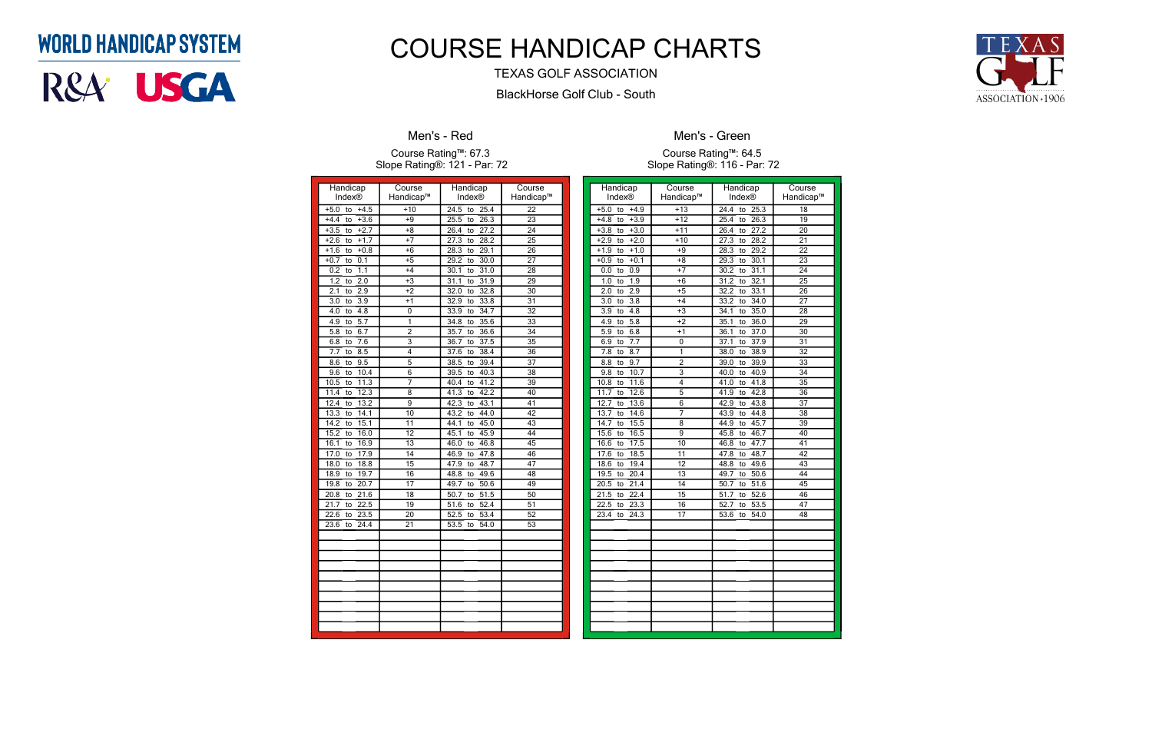### **WORLD HANDICAP SYSTEM**

# R&A<sup>.</sup> USGA

| Handicap                        | Course          | Handicap                        | Course          |
|---------------------------------|-----------------|---------------------------------|-----------------|
| Index®                          | Handicap™       | Index®                          | Handicap™       |
| $+5.0$<br>$+4.5$<br>to          | $+10$           | 24.5<br>25.4<br>to              | 22              |
| $+3.6$<br>$+4.4$<br>to          | $+9$            | 26.3<br>25.5<br>to              | 23              |
| $+2.7$<br>$+3.5$<br>to          | $+8$            | 26.4<br>27.2<br>to              | 24              |
| $+1.7$<br>$+2.6$<br>to          | $+7$            | 27.3<br>28.2<br>to              | $\overline{25}$ |
| $+1.6$<br>$+0.8$<br>to          | $+6$            | 28.3<br>29.1<br>to              | 26              |
| 0.1<br>$+0.7$<br>to             | $+5$            | 29.2<br>30.0<br>to              | 27              |
| 1.1<br>0.2<br>to                | $+4$            | 30.1<br>31.0<br>to              | 28              |
| 1.2<br>2.0<br>to                | $+3$            | 31.1<br>31.9<br>to              | 29              |
| 2.1<br>2.9<br>to                | $+2$            | 32.0<br>32.8<br>to              | 30              |
| 3.9<br>3.0<br>to                | $+1$            | 33.8<br>32.9<br>to              | 31              |
| 4.0<br>4.8<br>to                | 0               | 34.7<br>33.9<br>to              | $\overline{32}$ |
| 4.9<br>5.7<br>to                | 1               | 34.8<br>35.6<br>to              | 33              |
| $\overline{5.8}$<br>6.7<br>to   | $\overline{2}$  | 35.7<br>36.6<br>to              | 34              |
| 7.6<br>6.8<br>to                | $\overline{3}$  | 37.5<br>36.7<br>to              | 35              |
| 7.7<br>8.5<br>to                | 4               | 38.4<br>37.6<br>to              | 36              |
| 9.5<br>8.6<br>to                | $\overline{5}$  | 38.5<br>39.4<br>to              | 37              |
| $\overline{9.6}$<br>10.4<br>to  | 6               | 39.5<br>40.3<br>to              | $\overline{38}$ |
| 10.5<br>11.3<br>to              | 7               | 41.2<br>40.4<br>to              | 39              |
| 12.3<br>11.4<br>to              | 8               | 42.2<br>41.3<br>to              | 40              |
| 12.4<br>13.2<br>to              | 9               | 43.1<br>42.3<br>to              | 41              |
| 14.1<br>13.3<br>to              | $\overline{10}$ | 43.2<br>44.0<br>to              | 42              |
| 15.1<br>14.2<br>to              | $\overline{11}$ | 45.0<br>44.1<br>to              | 43              |
| 16.0<br>15.2<br>to              | $\overline{12}$ | 45.9<br>45.1<br>to              | 44              |
| 16.1<br>16.9<br>to              | $\overline{13}$ | 46.0<br>46.8<br>to              | 45              |
| 17.9<br>17.0<br>to              | 14              | 46.9<br>47.8<br>to              | 46              |
| 18.0<br>18.8<br>to              | 15              | 48.7<br>47.9<br>to              | 47              |
| 18.9<br>19.7<br>to              | 16              | 49.6<br>48.8<br>to              | 48              |
| 19.8<br>20.7<br>to              | 17              | 49.7<br>50.6<br>to              | 49              |
| $\overline{20.8}$<br>21.6<br>to | $\overline{18}$ | 50.7<br>$\overline{51.5}$<br>to | $\overline{50}$ |
| 21.7<br>22.5<br>to              | $\overline{19}$ | 52.4<br>51.6<br>to              | 51              |
| 22.6<br>23.5<br>to              | 20              | 53.4<br>52.5<br>to              | 52              |
| 24.4<br>23.6<br>to              | $\overline{21}$ | 54.0<br>53.5<br>to              | 53              |
|                                 |                 |                                 |                 |
|                                 |                 |                                 |                 |
|                                 |                 |                                 |                 |
|                                 |                 |                                 |                 |
|                                 |                 |                                 |                 |
|                                 |                 |                                 |                 |
|                                 |                 |                                 |                 |
|                                 |                 |                                 |                 |
|                                 |                 |                                 |                 |
|                                 |                 |                                 |                 |

#### Men's - Red

#### Course Rating™: 67.3 Slope Rating®: 121 - Par: 72

| Handicap                      | Course          | Handicap           | Course          |
|-------------------------------|-----------------|--------------------|-----------------|
| Index®                        | Handicap™       | <b>Index®</b>      | Handicap™       |
| $+4.9$<br>$+5.0$<br>to        | $+13$           | 24.4<br>25.3<br>to | 18              |
| $+3.9$<br>$+4.8$<br>to        | $+12$           | 25.4<br>to<br>26.3 | 19              |
| $+3.0$<br>$+3.8$<br>to        | $+11$           | 27.2<br>26.4<br>to | $\overline{20}$ |
| $+2.9$<br>$+2.0$<br>to        | $+10$           | 27.3<br>28.2<br>to | 21              |
| $+1.0$<br>$+1.9$<br>to        | $+9$            | 29.2<br>28.3<br>to | $\overline{22}$ |
| to $+0.1$<br>$+0.9$           | $+8$            | 29.3<br>30.1<br>to | $\overline{23}$ |
| 0.9<br>0.0<br>to              | $+7$            | 31.1<br>30.2<br>to | 24              |
| 1.9<br>1.0<br>to              | $+6$            | 31.2<br>32.1<br>to | $\overline{25}$ |
| 2.9<br>2.0<br>to              | $+5$            | 33.1<br>32.2<br>to | $\overline{26}$ |
| $\overline{3.8}$<br>3.0<br>to | $+4$            | 34.0<br>33.2<br>to | $\overline{27}$ |
| to $4.8$<br>3.9               | $+3$            | 35.0<br>34.1<br>to | $\overline{28}$ |
| 5.8<br>4.9<br>to              | $+2$            | 36.0<br>35.1<br>to | 29              |
| 6.8<br>5.9<br>to              | $+1$            | 36.1<br>37.0<br>to | 30              |
| 7.7<br>6.9<br>to              | 0               | 37.9<br>37.1<br>to | $\overline{31}$ |
| 8.7<br>7.8<br>to              | 1               | 38.0<br>38.9<br>to | $\overline{32}$ |
| 8.8<br>9.7<br>to              | $\overline{c}$  | 39.0<br>39.9<br>to | $\overline{33}$ |
| 10.7<br>9.8<br>to             | $\overline{3}$  | 40.9<br>40.0<br>to | 34              |
| 11.6<br>10.8<br>to            | 4               | 41.8<br>41.0<br>to | $\overline{35}$ |
| 12.6<br>11.7<br>to            | $\overline{5}$  | 42.8<br>41.9<br>to | 36              |
| 12.7<br>13.6<br>to            | 6               | 43.8<br>42.9<br>to | $\overline{37}$ |
| 14.6<br>13.7<br>to            | 7               | 43.9<br>44.8<br>to | 38              |
| 15.5<br>14.7<br>to            | 8               | 45.7<br>44.9<br>to | 39              |
| 16.5<br>15.6<br>to            | 9               | 46.7<br>45.8<br>to | $\overline{40}$ |
| 17.5<br>16.6<br>to            | 10              | 47.7<br>46.8<br>to | $\overline{41}$ |
| 18.5<br>17.6<br>to            | 11              | 47.8<br>48.7<br>to | $\overline{42}$ |
| 19.4<br>18.6<br>to            | $\overline{12}$ | 48.8<br>49.6<br>to | $\overline{43}$ |
| 20.4<br>19.5<br>to            | 13              | 50.6<br>49.7<br>to | 44              |
| 21.4<br>20.5<br>to            | 14              | 51.6<br>50.7<br>to | 45              |
| 21.5<br>22.4<br>to            | $\overline{15}$ | 51.7<br>52.6<br>to | $\overline{46}$ |
| 22.5<br>23.3<br>to            | 16              | 53.5<br>52.7<br>to | $\overline{47}$ |
| 23.4<br>24.3<br>to            | 17              | 53.6<br>54.0<br>to | 48              |
|                               |                 |                    |                 |
|                               |                 |                    |                 |
|                               |                 |                    |                 |
|                               |                 |                    |                 |
|                               |                 |                    |                 |
|                               |                 |                    |                 |
|                               |                 |                    |                 |
|                               |                 |                    |                 |
|                               |                 |                    |                 |
|                               |                 |                    |                 |
|                               |                 |                    |                 |



Men's - Green

Course Rating™: 64.5 Slope Rating®: 116 - Par: 72

## COURSE HANDICAP CHARTS

#### TEXAS GOLF ASSOCIATION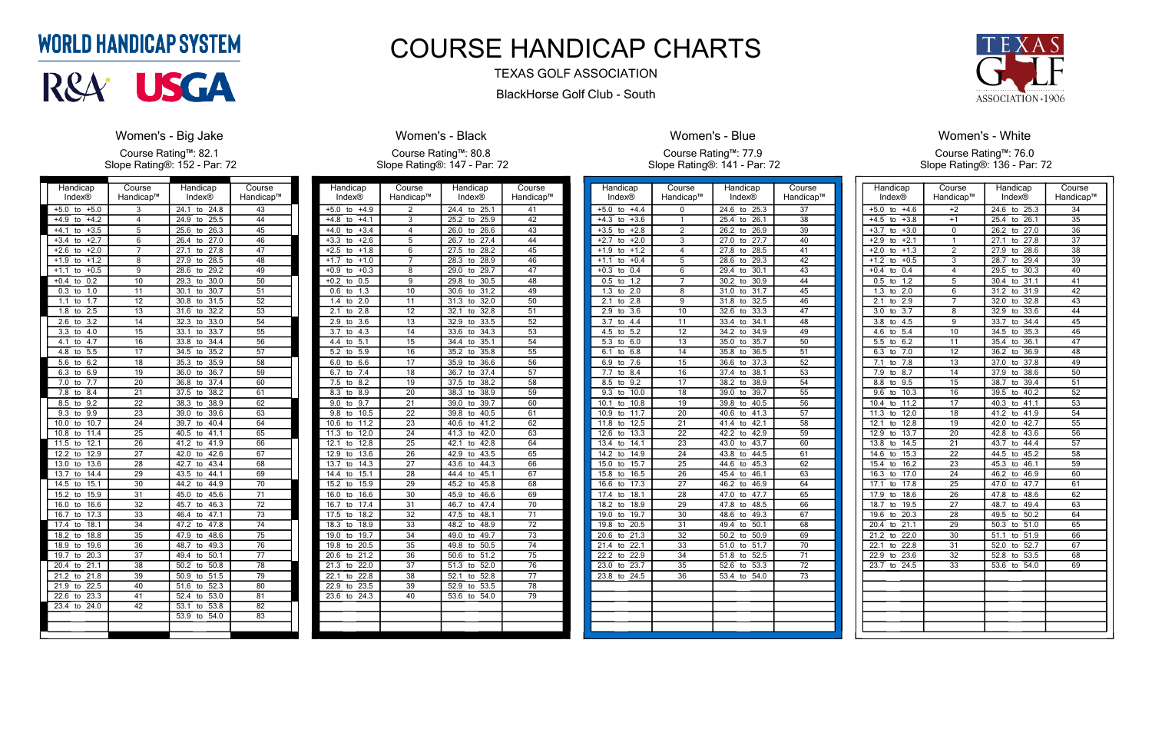| Handicap                                   | Course          | Handicap                        | Course          |
|--------------------------------------------|-----------------|---------------------------------|-----------------|
| <b>Index®</b>                              | Handicap™       | Index®                          | Handicap™       |
| $+5.0$<br>$+5.0$<br>to                     | 3               | 24.1<br>24.8<br>to              | 43              |
| $+4.2$<br>$+4.9$<br>to                     | 4               | $\overline{24.9}$<br>25.5<br>to | 44              |
| $+4.1$<br>$+3.5$<br>to                     | 5               | 25.6<br>26.3<br>to              | 45              |
| $+3.4$<br>$+2.7$<br>to                     | 6               | 26.4<br>27.0<br>to              | 46              |
| $+2.0$<br>$+2.6$<br>to                     | 7               | 27.8<br>27.1<br>to              | $\overline{47}$ |
| $+1.2$<br>$+1.9$<br>to                     | 8               | $\overline{27.9}$<br>28.5<br>to | 48              |
| $+0.5$<br>$+1.1$<br>to                     | 9               | 28.6<br>29.2<br>to              | 49              |
| 0.2<br>$+0.4$<br>to                        | $\overline{10}$ | 29.3<br>30.0<br>to              | 50              |
| $\overline{0.3}$<br>1.0<br>to              | 11              | $\overline{30.1}$<br>30.7<br>to | $\overline{51}$ |
| $\overline{1.7}$<br>$\overline{1.1}$<br>to | $\overline{12}$ | 30.8<br>31.5<br>to              | $\overline{52}$ |
| $\overline{2.5}$<br>1.8<br>to              | 13              | 31.6<br>32.2<br>to              | $\overline{53}$ |
| $\overline{3.2}$<br>2.6<br>to              | 14              | 32.3<br>33.0<br>to              | 54              |
| $\overline{3.3}$<br>4.0<br>to              | 15              | 33.1<br>33.7<br>to              | 55              |
| $\overline{4.7}$<br>4.1<br>to              | $\overline{16}$ | 33.8<br>34.4<br>to              | $\overline{56}$ |
| $\overline{5.5}$<br>4.8<br>to              | $\overline{17}$ | 35.2<br>34.5<br>to              | $\overline{57}$ |
| 6.2<br>5.6<br>to                           | 18              | 35.3<br>35.9<br>to              | 58              |
| 6.3<br>6.9<br>to                           | 19              | 36.0<br>36.7<br>to              | 59              |
| 7.7<br>7.0<br>to                           | 20              | 36.8<br>37.4<br>to              | 60              |
| $\overline{7.8}$<br>8.4<br>to              | 21              | 38.2<br>37.5<br>to              | 61              |
| $\overline{9.2}$<br>8.5<br>to              | $\overline{22}$ | 38.3<br>38.9<br>to              | $\overline{62}$ |
| 9.3<br>9.9<br>to                           | 23              | 39.6<br>39.0<br>to              | 63              |
| 10.0<br>10.7<br>to                         | 24              | 39.7<br>40.4<br>to              | 64              |
| 10.8<br>11.4<br>to                         | $\overline{25}$ | 40.5<br>41.1<br>to              | 65              |
| 11.5<br>12.1<br>to                         | 26              | 41.9<br>41.2<br>to              | 66              |
| 12.2<br>12.9<br>to                         | $\overline{27}$ | 42.0<br>42.6<br>to              | $\overline{67}$ |
| 13.0<br>13.6<br>to                         | 28              | 42.7<br>43.4<br>to              | 68              |
| 13.7<br>14.4<br>to                         | 29              | 44.1<br>43.5<br>to              | 69              |
| 15.1<br>14.5<br>to                         | $\overline{30}$ | 44.2<br>44.9<br>to              | $\overline{70}$ |
| 15.2<br>15.9<br>to                         | 31              | 45.0<br>45.6<br>to              | $\overline{71}$ |
| 16.6<br>16.0<br>to                         | 32              | 45.7<br>46.3<br>to              | $\overline{72}$ |
| 16.7<br>17.3<br>to                         | $\overline{33}$ | 46.4<br>47.1<br>to              | $\overline{73}$ |
| 17.4<br>18.1<br>to                         | $\overline{34}$ | 47.2<br>47.8<br>to              | $\overline{74}$ |
| 18.2<br>18.8<br>to                         | 35              | 48.6<br>47.9<br>to              | $\overline{75}$ |
| 18.9<br>19.6<br>to                         | $\overline{36}$ | 48.7<br>49.3<br>to              | $\overline{76}$ |
| 19.7<br>20.3<br>to                         | $\overline{37}$ | 50.1<br>49.4<br>to              | $\overline{77}$ |
| 21.1<br>20.4<br>to                         | 38              | 50.2<br>50.8<br>to              | 78              |
| 21.8<br>21.2<br>to                         | 39              | 50.9<br>51.5<br>to              | 79              |
| 22.5<br>21.9<br>to                         | 40              | 52.3<br>51.6<br>to              | 80              |
| 22.6<br>23.3<br>to                         | 41              | 52.4<br>53.0<br>to              | 81              |
| 24.0<br>23.4<br>to                         | $\overline{42}$ | 53.1<br>53.8<br>to              | $\overline{82}$ |
|                                            |                 | 53.9<br>54.0<br>to              | 83              |
|                                            |                 |                                 |                 |
|                                            |                 |                                 |                 |

### **WORLD HANDICAP SYSTEM**



#### Women's - Big Jake

Course Rating™: 82.1 Slope Rating®: 152 - Par: 72

| Handicap<br><b>Index®</b>                     | Course<br>Handicap™   | Handicap<br><b>Index®</b>       | Course<br>Handicap™   |
|-----------------------------------------------|-----------------------|---------------------------------|-----------------------|
| $+5.0$<br>$+4.9$<br>to                        | $\overline{2}$        | 24.4<br>25.1<br>to              | 41                    |
| $+4.1$<br>$+4.8$<br>to                        | 3                     | $25.\overline{2}$<br>25.9<br>to | 42                    |
| $+4.0$<br>$+3.4$<br>to                        | 4                     | 26.0<br>26.6<br>to              | 43                    |
| $+3.3$<br>$+2.6$                              | $\overline{5}$        | 26.7<br>27.4                    | 44                    |
| to<br>$+2.5$                                  |                       | to<br>$\overline{27.5}$<br>28.2 | $\overline{45}$       |
| $+1.8$<br>to                                  | 6                     | to                              |                       |
| $+1.7$<br>$+1.0$<br>to<br>$+0.9$              | 7<br>8                | 28.3<br>28.9<br>to<br>29.0      | 46<br>$\overline{47}$ |
| $+0.3$<br>to<br>0.5                           | $\overline{9}$        | 29.7<br>to<br>29.8<br>30.5      | 48                    |
| $+0.\overline{2}$<br>to<br>$\overline{1.3}$   | 10                    | to<br>31.2<br>30.6              | 49                    |
| 0.6<br>to                                     | 11                    | to                              | $\overline{50}$       |
| 1.4<br>$\overline{2.0}$<br>to                 |                       | 31.3<br>32.0<br>to              |                       |
| 2.1<br>2.8<br>to                              | $\overline{12}$       | 32.1<br>32.8<br>to              | 51                    |
| 2.9<br>3.6<br>to                              | 13                    | 33.5<br>32.9<br>to              | 52                    |
| 3.7<br>4.3<br>to                              | 14<br>$\overline{15}$ | 33.6<br>34.3<br>to              | 53                    |
| $\overline{5.1}$<br>4.4<br>to                 |                       | 35.1<br>34.4<br>to              | $\overline{54}$       |
| $\overline{5.2}$<br>5.9<br>to                 | 16                    | 35.2<br>35.8<br>to              | $\overline{55}$       |
| 6.0<br>6.6<br>to                              | 17                    | 35.9<br>36.6<br>to              | 56                    |
| 6.7<br>7.4<br>to                              | 18                    | 36.7<br>37.4<br>to              | 57                    |
| 7.5<br>8.2<br>to                              | 19                    | 37.5<br>38.2<br>to              | 58                    |
| 8.3<br>8.9<br>to                              | 20                    | 38.3<br>38.9<br>to              | 59                    |
| 9.0<br>9.7<br>to                              | 21                    | 39.0<br>39.7<br>to              | 60                    |
| 9.8<br>10.5<br>to                             | $\overline{22}$       | 39.8<br>40.5<br>to              | 61                    |
| 11.2<br>10.6<br>to                            | 23                    | 41.2<br>40.6<br>to              | 62                    |
| 11.3<br>12.0<br>to                            | 24                    | 41.3<br>42.0<br>to              | 63                    |
| 12.1<br>12.8<br>to                            | $\overline{25}$       | 42.1<br>42.8<br>to              | 64                    |
| 12.9<br>13.6<br>to                            | 26                    | 42.9<br>43.5<br>to              | 65                    |
| 13.7<br>14.3<br>to                            | $\overline{27}$       | 43.6<br>44.3<br>to              | 66                    |
| 14.4<br>15.1<br>to                            | $\overline{28}$       | 44.4<br>45.1<br>to              | 67                    |
| 15.9<br>15.2<br>to                            | 29                    | 45.8<br>45.2<br>to              | 68                    |
| 16.0<br>16.6<br>to                            | $\overline{30}$       | 45.9<br>46.6<br>to              | 69                    |
| 16.7<br>17.4<br>to                            | $\overline{31}$       | 47.4<br>46.7<br>to              | $\overline{70}$       |
| 17.5<br>18.2<br>to                            | 32                    | 47.5<br>48.1<br>to              | $\overline{71}$       |
| 18.3<br>$\overline{18.9}$<br>to               | 33                    | 48.2<br>48.9<br>to              | 72                    |
| 19.7<br>19.0<br>to                            | $\overline{34}$       | 49.0<br>49.7<br>to              | $\overline{73}$       |
| 19.8<br>20.5<br>to                            | 35                    | 49.8<br>$\overline{50.5}$<br>to | 74                    |
| 21.2<br>20.6<br>to                            | $\overline{36}$       | 51.2<br>50.6<br>to              | $\overline{75}$       |
| 21.3<br>22.0<br>to                            | 37                    | 52.0<br>51.3<br>to              | 76                    |
| $\overline{2}2.1$<br>$\overline{2}$ 2.8<br>to | 38                    | 52.1<br>52.8<br>to              | 77                    |
| 22.9<br>23.5<br>to                            | 39                    | 52.9<br>53.5<br>to              | 78                    |
| $23.\overline{6}$<br>24.3<br>to               | 40                    | 53.6<br>54.0<br>to              | 79                    |
|                                               |                       |                                 |                       |
|                                               |                       |                                 |                       |
|                                               |                       |                                 |                       |

#### Women's - Black

Course Rating™: 80.8 Slope Rating®: 147 - Par: 72

| Handicap                     | Course                    | Handicap                        | Course          |
|------------------------------|---------------------------|---------------------------------|-----------------|
| Index®                       | Handicap™                 | Index®                          | Handicap™       |
| $+4.4$<br>$+5.0$<br>to       | 0                         | 24.6<br>25.3<br>to              | 37              |
| $+4.3$<br>$+3.6$<br>to       | 1                         | $\overline{26.1}$<br>25.4<br>to | 38              |
| $+3.5$<br>$+2.8$<br>to       | $\overline{2}$            | 26.9<br>26.2<br>to              | 39              |
| $+2.7$<br>$+2.0$<br>to       | $\overline{\overline{3}}$ | 27.7<br>27.0<br>to              | 40              |
| $+1.9$<br>$+1.2$<br>to       | 4                         | 27.8<br>28.5<br>to              | 41              |
| $+0.4$<br>$+1.1$<br>to       | $\overline{5}$            | 29.3<br>28.6<br>to              | 42              |
| $+0.3$<br>0.4<br>to          | 6                         | 30.1<br>29.4<br>to              | 43              |
| 1.2<br>0.5<br>to             | 7                         | 30.2<br>30.9<br>to              | 44              |
| 2.0<br>1.3<br>to             | $\overline{8}$            | 31.7<br>31.0<br>to              | 45              |
| 2.8<br>2.1<br>to             | $\overline{9}$            | 32.5<br>31.8<br>to              | 46              |
| 2.9<br>3.6<br>to             | 10                        | 33.3<br>32.6<br>to              | 47              |
| $4\overline{4}$<br>3.7<br>to | 11                        | 33.4<br>34.1<br>to              | 48              |
| 5.2<br>4.5<br>to             | 12                        | 34.2<br>34.9<br>to              | 49              |
| 5.3<br>6.0<br>to             | $\overline{13}$           | 35.0<br>35.7<br>to              | 50              |
| 6.8<br>6.1<br>to             | 14                        | 35.8<br>36.5<br>to              | 51              |
| 6.9<br>7.6<br>to             | 15                        | 36.6<br>37.3<br>to              | 52              |
| 8.4<br>7.7<br>to             | 16                        | 38.1<br>37.4<br>to              | 53              |
| 9.2<br>8.5<br>to             | 17                        | 38.9<br>38.2<br>to              | 54              |
| 9.3<br>10.0<br>to            | 18                        | 39.0<br>39.7<br>to              | 55              |
| 10.1<br>10.8<br>to           | 19                        | 40.5<br>39.8<br>to              | $\overline{56}$ |
| 11.7<br>10.9<br>to           | 20                        | 41.3<br>40.6<br>to              | $\overline{57}$ |
| 11.8<br>12.5<br>to           | 21                        | 42.1<br>41.4<br>to              | 58              |
| 12.6<br>13.3<br>to           | 22                        | 42.9<br>42.2<br>to              | 59              |
| 13.4<br>14.1<br>to           | 23                        | 43.7<br>43.0<br>to              | 60              |
| 14.2<br>14.9<br>to           | 24                        | 43.8<br>44.5<br>to              | 61              |
| 15.0<br>15.7<br>to           | 25                        | 44.6<br>45.3<br>to              | 62              |
| 15.8<br>16.5<br>to           | 26                        | 46.1<br>45.4<br>to              | 63              |
| 16.6<br>17.3<br>to           | 27                        | 46.9<br>46.2<br>to              | 64              |
| 18.1<br>17.4<br>to           | 28                        | 47.0<br>47.7<br>to              | $\overline{65}$ |
| 18.2<br>18.9<br>to           | 29                        | 48.5<br>47.8<br>to              | 66              |
| 19.7<br>19.0<br>to           | 30                        | 48.6<br>49.3<br>to              | 67              |
| 20.5<br>19.8<br>to           | 31                        | 50.1<br>49.4<br>to              | 68              |
| 20.6<br>21.3<br>to           | 32                        | 50.2<br>50.9<br>to              | 69              |
| 21.4<br>22.1<br>to           | 33                        | 51.0<br>51.7<br>to              | 70              |
| 22.2<br>22.9<br>to           | 34                        | 51.8<br>52.5<br>to              | $\overline{71}$ |
| 23.0<br>23.7<br>to           | 35                        | 52.6<br>53.3<br>to              | 72              |
| 23.8<br>24.5<br>to           | 36                        | 53.4<br>54.0<br>to              | 73              |
|                              |                           |                                 |                 |
|                              |                           |                                 |                 |
|                              |                           |                                 |                 |
|                              |                           |                                 |                 |
|                              |                           |                                 |                 |
|                              |                           |                                 |                 |



#### Women's - Blue

Course Rating™: 77.9 Slope Rating®: 141 - Par: 72

| Handicap<br>Index®            | Course<br>Handicap™ | Handicap<br><b>Index®</b>       | Course<br>Handicap™ |
|-------------------------------|---------------------|---------------------------------|---------------------|
|                               |                     |                                 |                     |
| $+4.6$<br>$+5.0$<br>to        | $+2$                | 24.6<br>25.3<br>to              | 34                  |
| $+4.5$<br>$+3.8$<br>to        | $+1$                | 26.1<br>25.4<br>to              | 35                  |
| $+3.0$<br>$+3.7$<br>to        | 0                   | 27.0<br>26.2<br>to              | $\overline{36}$     |
| $+2.1$<br>$+2.9$<br>to        | 1                   | 27.1<br>27.8<br>to              | $\overline{37}$     |
| $+1.3$<br>$+2.0$<br>to        | $\overline{2}$      | 27.9<br>28.6<br>to              | 38                  |
| $+1.2$<br>$+0.5$<br>to        | $\overline{3}$      | 29.4<br>28.7<br>to              | 39                  |
| $+0.4$<br>0.4<br>to           | 4                   | 29.5<br>30.3<br>to              | 40                  |
| 0.5<br>1.2<br>to              | 5                   | 31.1<br>30.4<br>to              | 41                  |
| 1.3<br>2.0<br>to              | 6                   | 31.9<br>31.2<br>to              | $\overline{42}$     |
| $\overline{2.1}$<br>2.9<br>to | 7                   | 32.0<br>32.8<br>to              | $\overline{43}$     |
| $\overline{3.7}$<br>3.0<br>to | 8                   | 33.6<br>32.9<br>to              | 44                  |
| $\overline{3.8}$<br>4.5<br>to | $\overline{9}$      | 34.4<br>33.7<br>to              | 45                  |
| 4.6<br>5.4<br>to              | 10                  | 34.5<br>35.3<br>to              | 46                  |
| 6.2<br>5.5<br>to              | 11                  | 35.4<br>36.1<br>to              | 47                  |
| 6.3<br>7.0<br>to              | 12                  | 36.9<br>36.2<br>to              | 48                  |
| 7.1<br>7.8<br>to              | $\overline{13}$     | 37.8<br>37.0<br>to              | 49                  |
| 7.9<br>8.7<br>to              | 14                  | 38.6<br>37.9<br>to              | 50                  |
| 9.5<br>8.8<br>to              | 15                  | 38.7<br>39.4<br>to              | $\overline{51}$     |
| 9.6<br>10.3<br>to             | 16                  | 40.2<br>39.5<br>to              | 52                  |
| 11.2<br>10.4<br>to            | 17                  | 40.3<br>$\overline{41.1}$<br>to | 53                  |
| 11.3<br>12.0<br>to            | 18                  | 41.2<br>41.9<br>to              | 54                  |
| 12.1<br>12.8<br>to            | 19                  | 42.0<br>42.7<br>to              | 55                  |
| 12.9<br>13.7<br>to            | 20                  | 42.8<br>43.6<br>to              | 56                  |
| 13.8<br>14.5<br>to            | $\overline{21}$     | 43.7<br>44.4<br>to              | 57                  |
| 15.3<br>14.6<br>to            | 22                  | 45.2<br>44.5<br>to              | 58                  |
| 15.4<br>16.2<br>to            | 23                  | 45.3<br>46.1<br>to              | 59                  |
| 16.3<br>17.0<br>to            | 24                  | 46.9<br>46.2<br>to              | 60                  |
| 17.8<br>17.1<br>to            | 25                  | 47.7<br>47.0<br>to              | 61                  |
| 17.9<br>18.6<br>to            | $\overline{26}$     | 47.8<br>48.6<br>to              | 62                  |
| 18.7<br>19.5<br>to            | 27                  | 49.4<br>48.7<br>to              | $\overline{63}$     |
| 19.6<br>20.3<br>to            | 28                  | 50.2<br>49.5<br>to              | 64                  |
| 20.4<br>21.1<br>to            | 29                  | 50.3<br>51.0<br>to              | 65                  |
| 21.2<br>22.0<br>to            | 30                  | 51.9<br>51.1<br>to              | 66                  |
| 22.1<br>22.8<br>to            | 31                  | 52.0<br>52.7<br>to              | 67                  |
| 22.9<br>23.6<br>to            | $\overline{32}$     | 52.8<br>53.5<br>to              | 68                  |
| 23.7<br>24.5<br>to            | 33                  | 53.6<br>54.0<br>to              | 69                  |
|                               |                     |                                 |                     |
|                               |                     |                                 |                     |
|                               |                     |                                 |                     |
|                               |                     |                                 |                     |
|                               |                     |                                 |                     |
|                               |                     |                                 |                     |
|                               |                     |                                 |                     |

#### Women's - White Course Rating™: 76.0 Slope Rating®: 136 - Par: 72

## COURSE HANDICAP CHARTS

#### TEXAS GOLF ASSOCIATION